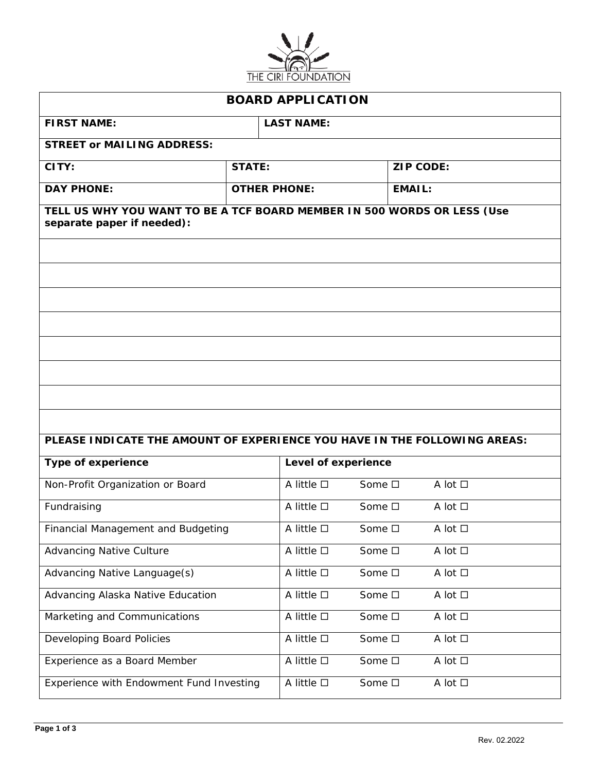

| <b>BOARD APPLICATION</b>                                                                              |                     |                     |                  |        |                   |  |
|-------------------------------------------------------------------------------------------------------|---------------------|---------------------|------------------|--------|-------------------|--|
| <b>FIRST NAME:</b>                                                                                    | <b>LAST NAME:</b>   |                     |                  |        |                   |  |
| <b>STREET or MAILING ADDRESS:</b>                                                                     |                     |                     |                  |        |                   |  |
| CITY:                                                                                                 | <b>STATE:</b>       |                     | <b>ZIP CODE:</b> |        |                   |  |
| <b>DAY PHONE:</b>                                                                                     | <b>OTHER PHONE:</b> |                     |                  | EMAIL: |                   |  |
| TELL US WHY YOU WANT TO BE A TCF BOARD MEMBER IN 500 WORDS OR LESS (Use<br>separate paper if needed): |                     |                     |                  |        |                   |  |
|                                                                                                       |                     |                     |                  |        |                   |  |
|                                                                                                       |                     |                     |                  |        |                   |  |
|                                                                                                       |                     |                     |                  |        |                   |  |
|                                                                                                       |                     |                     |                  |        |                   |  |
|                                                                                                       |                     |                     |                  |        |                   |  |
|                                                                                                       |                     |                     |                  |        |                   |  |
|                                                                                                       |                     |                     |                  |        |                   |  |
|                                                                                                       |                     |                     |                  |        |                   |  |
| PLEASE INDICATE THE AMOUNT OF EXPERIENCE YOU HAVE IN THE FOLLOWING AREAS:                             |                     |                     |                  |        |                   |  |
| <b>Type of experience</b>                                                                             |                     | Level of experience |                  |        |                   |  |
| Non-Profit Organization or Board                                                                      |                     | A little $\square$  | Some □           |        | $A$ lot $\square$ |  |
| Fundraising                                                                                           |                     | A little $\square$  | Some □           |        | A lot $\square$   |  |
| Financial Management and Budgeting                                                                    |                     | A little $\square$  | Some □           |        | A lot □           |  |
| <b>Advancing Native Culture</b>                                                                       |                     | A little $\square$  | Some □           |        | A lot $\square$   |  |
| Advancing Native Language(s)                                                                          |                     | A little $\square$  | Some □           |        | A lot □           |  |
| Advancing Alaska Native Education                                                                     |                     | A little $\square$  | Some □           |        | A lot □           |  |
| Marketing and Communications                                                                          |                     | A little $\Box$     | Some □           |        | A lot $\square$   |  |
| Developing Board Policies                                                                             |                     | A little $\square$  | Some □           |        | A lot $\Box$      |  |
| Experience as a Board Member                                                                          |                     | A little $\Box$     | Some □           |        | A lot □           |  |
| Experience with Endowment Fund Investing                                                              |                     | A little $\square$  | Some $\square$   |        | A lot $\square$   |  |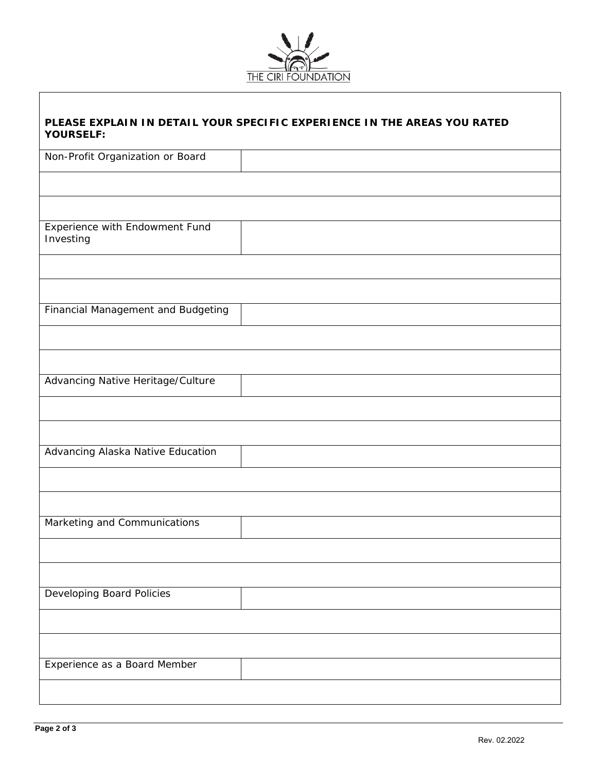

| PLEASE EXPLAIN IN DETAIL YOUR SPECIFIC EXPERIENCE IN THE AREAS YOU RATED<br><b>YOURSELF:</b> |
|----------------------------------------------------------------------------------------------|
| Non-Profit Organization or Board                                                             |
|                                                                                              |
|                                                                                              |
| Experience with Endowment Fund<br>Investing                                                  |
|                                                                                              |
|                                                                                              |
| Financial Management and Budgeting                                                           |
|                                                                                              |
|                                                                                              |
| Advancing Native Heritage/Culture                                                            |
|                                                                                              |
|                                                                                              |
| Advancing Alaska Native Education                                                            |
|                                                                                              |
|                                                                                              |
| Marketing and Communications                                                                 |
|                                                                                              |
|                                                                                              |
| Developing Board Policies                                                                    |
|                                                                                              |
|                                                                                              |
| Experience as a Board Member                                                                 |
|                                                                                              |